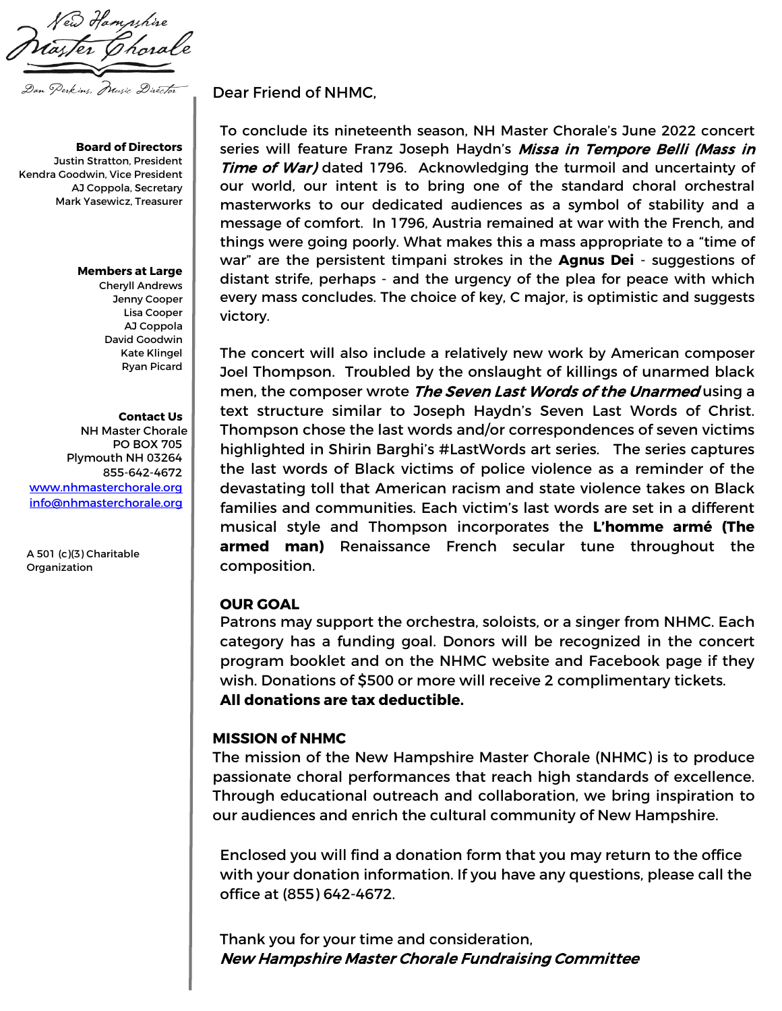ew Hampshire Dan Perkins, Music Director

**Board of Directors** Justin Stratton, President Kendra Goodwin, Vice President AJ Coppola, Secretary Mark Yasewicz, Treasurer

#### **Members at Large**

Cheryll Andrews Jenny Cooper Lisa Cooper AJ Coppola David Goodwin Kate Klingel Ryan Picard

### **Contact Us**

NH Master Chorale PO BOX 705 Plymouth NH 03264 855-642-4672 [www.nhmasterchorale.org](http://www.nhmasterchorale.org/) [info@nhmasterchorale.org](mailto:info@nhmasterchorale.org)

A 501 (c)(3) Charitable Organization

Dear Friend of NHMC,

To conclude its nineteenth season, NH Master Chorale's June 2022 concert series will feature Franz Joseph Haydn's Missa in Tempore Belli (Mass in Time of War) dated 1796. Acknowledging the turmoil and uncertainty of our world, our intent is to bring one of the standard choral orchestral masterworks to our dedicated audiences as a symbol of stability and a message of comfort. In 1796, Austria remained at war with the French, and things were going poorly. What makes this a mass appropriate to a "time of war" are the persistent timpani strokes in the **Agnus Dei** - suggestions of distant strife, perhaps - and the urgency of the plea for peace with which every mass concludes. The choice of key, C major, is optimistic and suggests victory.

The concert will also include a relatively new work by American composer Joel Thompson. Troubled by the onslaught of killings of unarmed black men, the composer wrote The Seven Last Words of the Unarmed using a text structure similar to Joseph Haydn's Seven Last Words of Christ. Thompson chose the last words and/or correspondences of seven victims highlighted in Shirin Barghi's #LastWords art series. The series captures the last words of Black victims of police violence as a reminder of the devastating toll that American racism and state violence takes on Black families and communities. Each victim's last words are set in a different musical style and Thompson incorporates the **L'homme armé (The armed man)** Renaissance French secular tune throughout the composition.

## **OUR GOAL**

Patrons may support the orchestra, soloists, or a singer from NHMC. Each category has a funding goal. Donors will be recognized in the concert program booklet and on the NHMC website and Facebook page if they wish. Donations of \$500 or more will receive 2 complimentary tickets. **All donations are tax deductible.**

### **MISSION of NHMC**

The mission of the New Hampshire Master Chorale (NHMC) is to produce passionate choral performances that reach high standards of excellence. Through educational outreach and collaboration, we bring inspiration to our audiences and enrich the cultural community of New Hampshire.

Enclosed you will find a donation form that you may return to the office with your donation information. If you have any questions, please call the office at (855) 642-4672.

Thank you for your time and consideration, New Hampshire Master Chorale Fundraising Committee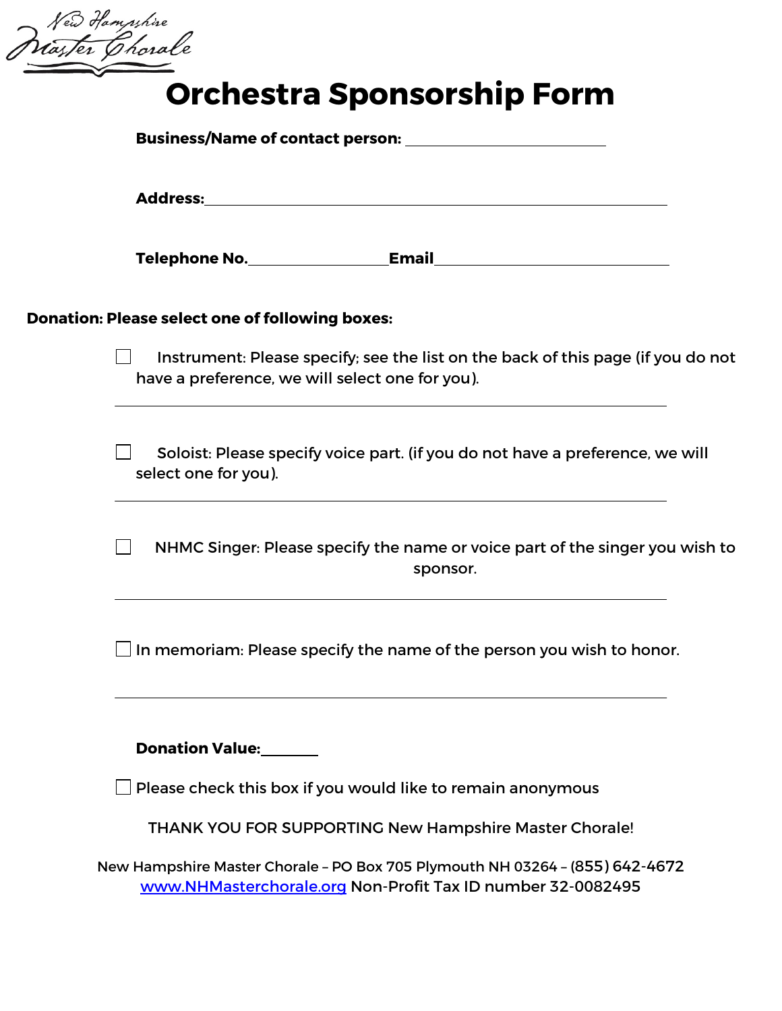New Hampshire<br>Waster Chorale

# **Orchestra Sponsorship Form**

|  | <b>Donation: Please select one of following boxes:</b>                                                                              |                                                                                                                                             |  |
|--|-------------------------------------------------------------------------------------------------------------------------------------|---------------------------------------------------------------------------------------------------------------------------------------------|--|
|  | Instrument: Please specify; see the list on the back of this page (if you do not<br>have a preference, we will select one for you). |                                                                                                                                             |  |
|  | Soloist: Please specify voice part. (if you do not have a preference, we will<br>select one for you).                               |                                                                                                                                             |  |
|  | NHMC Singer: Please specify the name or voice part of the singer you wish to<br>$\Box$<br>sponsor.                                  |                                                                                                                                             |  |
|  |                                                                                                                                     |                                                                                                                                             |  |
|  | <b>Donation Value:</b>                                                                                                              |                                                                                                                                             |  |
|  |                                                                                                                                     | Please check this box if you would like to remain anonymous                                                                                 |  |
|  |                                                                                                                                     | THANK YOU FOR SUPPORTING New Hampshire Master Chorale!                                                                                      |  |
|  |                                                                                                                                     | New Hampshire Master Chorale - PO Box 705 Plymouth NH 03264 - (855) 642-4672<br>www.NHMasterchorale.org Non-Profit Tax ID number 32-0082495 |  |